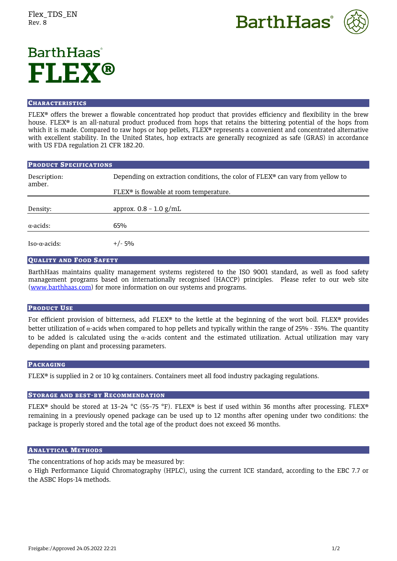



# **BarthHaas**<sup>®</sup> **FLEX®**

#### **CHARACTERISTICS**

FLEX® offers the brewer a flowable concentrated hop product that provides efficiency and flexibility in the brew house. FLEX® is an all-natural product produced from hops that retains the bittering potential of the hops from which it is made. Compared to raw hops or hop pellets, FLEX® represents a convenient and concentrated alternative with excellent stability. In the United States, hop extracts are generally recognized as safe (GRAS) in accordance with US FDA regulation 21 CFR 182.20.

| <b>PRODUCT SPECIFICATIONS</b> |                                                                                         |
|-------------------------------|-----------------------------------------------------------------------------------------|
| Description:<br>amber.        | Depending on extraction conditions, the color of $FLEX^{\circ}$ can vary from yellow to |
|                               | FLEX <sup>®</sup> is flowable at room temperature.                                      |
| Density:                      | approx. $0.8 - 1.0$ g/mL                                                                |
| $\alpha$ -acids:              | 65%                                                                                     |
| Iso-α-acids:                  | $+/- 5%$                                                                                |

## QUALITY AND FOOD SAFETY

BarthHaas maintains quality management systems registered to the ISO 9001 standard, as well as food safety management programs based on internationally recognised (HACCP) principles. Please refer to our web site [\(www.barthhaas.com\)](http://www.barthhaas.com/) for more information on our systems and programs.

### PRODUCT USE

For efficient provision of bitterness, add FLEX® to the kettle at the beginning of the wort boil. FLEX® provides better utilization of α-acids when compared to hop pellets and typically within the range of 25% - 35%. The quantity to be added is calculated using the  $\alpha$ -acids content and the estimated utilization. Actual utilization may vary depending on plant and processing parameters.

### PACKAGING

FLEX® is supplied in 2 or 10 kg containers. Containers meet all food industry packaging regulations.

### STORAGE AND BEST-BY RECOMMENDATION

FLEX® should be stored at 13–24 °C (55–75 °F). FLEX® is best if used within 36 months after processing. FLEX® remaining in a previously opened package can be used up to 12 months after opening under two conditions: the package is properly stored and the total age of the product does not exceed 36 months.

### ANALYTICAL METHODS

The concentrations of hop acids may be measured by:

o High Performance Liquid Chromatography (HPLC), using the current ICE standard, according to the EBC 7.7 or the ASBC Hops-14 methods.